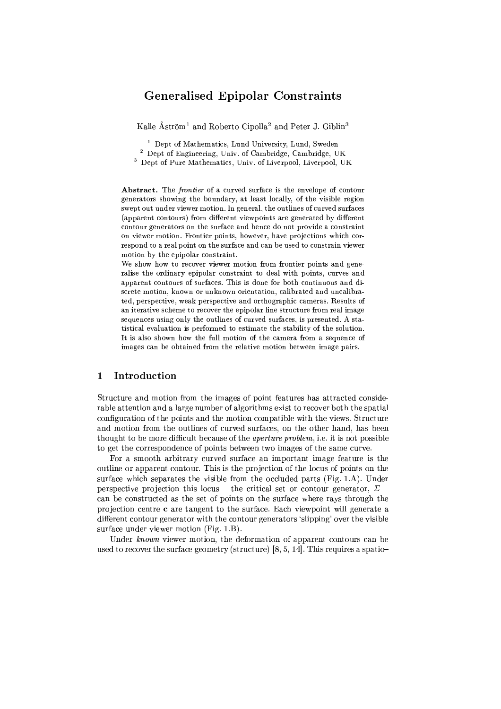# **Generalised Epipolar Constraints**

Kalle Åström<sup>1</sup> and Roberto Cipolla<sup>2</sup> and Peter J. Giblin<sup>3</sup>

<sup>1</sup> Dept of Mathematics, Lund University, Lund, Sweden

<sup>2</sup> Dept of Engineering, Univ. of Cambridge, Cambridge, UK

<sup>3</sup> Dept of Pure Mathematics, Univ. of Liverpool, Liverpool, UK

Abstract. The frontier of a curved surface is the envelope of contour generators showing the boundary, at least locally, of the visible region swept out under viewer motion. In general, the outlines of curved surfaces (apparent contours) from different viewpoints are generated by different contour generators on the surface and hence do not provide a constraint on viewer motion. Frontier points, however, have projections which correspond to a real point on the surface and can be used to constrain viewer motion by the epipolar constraint.

We show how to recover viewer motion from frontier points and generalise the ordinary epipolar constraint to deal with points, curves and apparent contours of surfaces. This is done for both continuous and discrete motion, known or unknown orientation, calibrated and uncalibrated, perspective, weak perspective and orthographic cameras. Results of an iterative scheme to recover the epipolar line structure from real image sequences using only the outlines of curved surfaces, is presented. A statistical evaluation is performed to estimate the stability of the solution. It is also shown how the full motion of the camera from a sequence of images can be obtained from the relative motion between image pairs.

#### Introduction  $\mathbf{1}$

Structure and motion from the images of point features has attracted considerable attention and a large number of algorithms exist to recover both the spatial configuration of the points and the motion compatible with the views. Structure and motion from the outlines of curved surfaces, on the other hand, has been thought to be more difficult because of the *aperture problem*, i.e. it is not possible to get the correspondence of points between two images of the same curve.

For a smooth arbitrary curved surface an important image feature is the outline or apparent contour. This is the projection of the locus of points on the surface which separates the visible from the occluded parts (Fig. 1.A). Under perspective projection this locus – the critical set or contour generator,  $\Sigma$  – can be constructed as the set of points on the surface where rays through the projection centre c are tangent to the surface. Each viewpoint will generate a different contour generator with the contour generators 'slipping' over the visible surface under viewer motion (Fig. 1.B).

Under known viewer motion, the deformation of apparent contours can be used to recover the surface geometry (structure) [8, 5, 14]. This requires a spatio-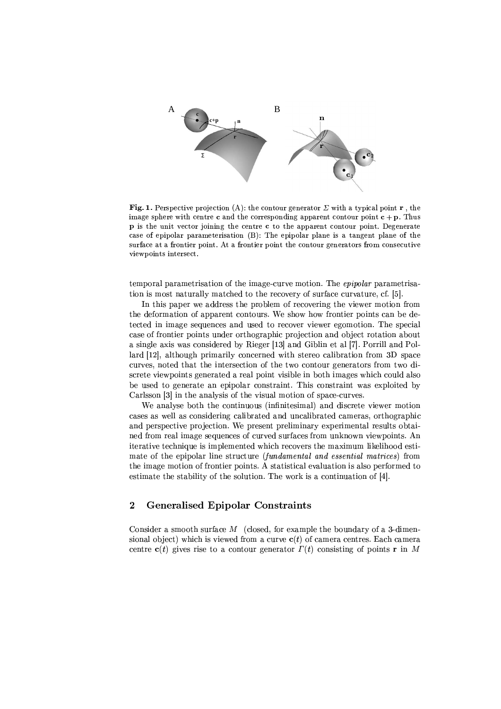

Fig. 1. Perspective projection (A): the contour generator  $\Sigma$  with a typical point **r**, the image sphere with centre c and the corresponding apparent contour point  $c + p$ . Thus p is the unit vector joining the centre c to the apparent contour point. Degenerate case of epipolar parameterisation (B): The epipolar plane is a tangent plane of the surface at a frontier point. At a frontier point the contour generators from consecutive viewpoints intersect.

temporal parametrisation of the image-curve motion. The *epipolar* parametrisation is most naturally matched to the recovery of surface curvature, cf. [5].

In this paper we address the problem of recovering the viewer motion from the deformation of apparent contours. We show how frontier points can be detected in image sequences and used to recover viewer egomotion. The special case of frontier points under orthographic projection and object rotation about a single axis was considered by Rieger [13] and Giblin et al [7]. Porrill and Pollard [12], although primarily concerned with stereo calibration from 3D space curves, noted that the intersection of the two contour generators from two discrete viewpoints generated a real point visible in both images which could also be used to generate an epipolar constraint. This constraint was exploited by Carlsson [3] in the analysis of the visual motion of space-curves.

We analyse both the continuous (infinitesimal) and discrete viewer motion cases as well as considering calibrated and uncalibrated cameras, orthographic and perspective projection. We present preliminary experimental results obtained from real image sequences of curved surfaces from unknown viewpoints. An iterative technique is implemented which recovers the maximum likelihood estimate of the epipolar line structure (fundamental and essential matrices) from the image motion of frontier points. A statistical evaluation is also performed to estimate the stability of the solution. The work is a continuation of [4].

# $\overline{2}$ **Generalised Epipolar Constraints**

Consider a smooth surface  $M$  (closed, for example the boundary of a 3-dimensional object) which is viewed from a curve  $c(t)$  of camera centres. Each camera centre  $c(t)$  gives rise to a contour generator  $\Gamma(t)$  consisting of points r in M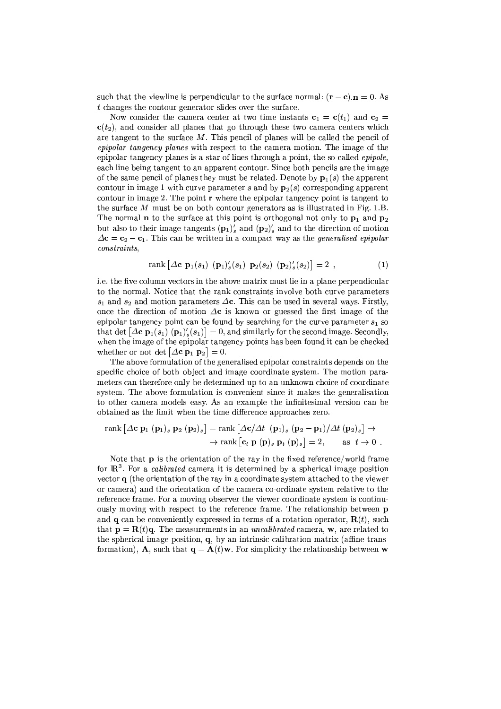such that the viewline is perpendicular to the surface normal:  $(\mathbf{r} - \mathbf{c}) \cdot \mathbf{n} = 0$ . As  $t$  changes the contour generator slides over the surface.

Now consider the camera center at two time instants  $c_1 = c(t_1)$  and  $c_2 = c(t_2)$  ${\bf c}(t_2)$ , and consider all planes that go through these two camera centers which are tangent to the surface  $M$ . This pencil of planes will be called the pencil of epipolar tangency planes with respect to the camera motion. The image of the epipolar tangency planes is a star of lines through a point, the so called epipole, each line being tangent to an apparent contour. Since both pencils are the image of the same pencil of planes they must be related. Denote by  $\mathbf{p}_1(s)$  the apparent contour in image 1 with curve parameter s and by  $p_2(s)$  corresponding apparent contour in image 2. The point  $\mathbf r$  where the epipolar tangency point is tangent to the surface  $M$  must be on both contour generators as is illustrated in Fig. 1.B. The normal **n** to the surface at this point is orthogonal not only to  $p_1$  and  $p_2$ but also to their image tangents  $(\mathbf{p}_1)'$  and  $(\mathbf{p}_2)'$  and to the direction of motion  $\Delta c = c_2 - c_1$ . This can be written in a compact way as the generalised epipolar  $constants.$ 

rank 
$$
[\Delta \mathbf{c} \ \mathbf{p}_1(s_1) \ (\mathbf{p}_1)'_s(s_1) \ \mathbf{p}_2(s_2) \ (\mathbf{p}_2)'_s(s_2)] = 2
$$
, (1)

i.e. the five column vectors in the above matrix must lie in a plane perpendicular to the normal. Notice that the rank constraints involve both curve parameters  $s_1$  and  $s_2$  and motion parameters  $\Delta$ c. This can be used in several ways. Firstly, once the direction of motion  $\Delta c$  is known or guessed the first image of the epipolar tangency point can be found by searching for the curve parameter  $s_1$  so that det  $[\Delta \mathbf{c} \ \mathbf{p}_1(s_1) \ (\mathbf{p}_1)'_s(s_1)] = 0$ , and similarly for the second image. Secondly, when the image of the epipolar tangency points has been found it can be checked whether or not det  $[\Delta c \mathbf{p}_1 \mathbf{p}_2] = 0$ .

The above formulation of the generalised epipolar constraints depends on the specific choice of both object and image coordinate system. The motion parameters can therefore only be determined up to an unknown choice of coordinate system. The above formulation is convenient since it makes the generalisation to other camera models easy. As an example the infinitesimal version can be obtained as the limit when the time difference approaches zero.

rank 
$$
[\Delta \mathbf{c} \ \mathbf{p}_1 \ (\mathbf{p}_1)_s \ \mathbf{p}_2 \ (\mathbf{p}_2)_s] = \text{rank } [\Delta \mathbf{c}/\Delta t \ (\mathbf{p}_1)_s \ (\mathbf{p}_2 - \mathbf{p}_1)/\Delta t \ (\mathbf{p}_2)_s] \rightarrow
$$
  
\n $\rightarrow \text{rank } [\mathbf{c}_t \ \mathbf{p} \ (\mathbf{p})_s \ \mathbf{p}_t \ (\mathbf{p})_s] = 2, \qquad \text{as } t \rightarrow 0.$ 

Note that **p** is the orientation of the ray in the fixed reference/world frame for  $\mathbb{R}^3$ . For a *calibrated* camera it is determined by a spherical image position vector q (the orientation of the ray in a coordinate system attached to the viewer or camera) and the orientation of the camera co-ordinate system relative to the reference frame. For a moving observer the viewer coordinate system is continuously moving with respect to the reference frame. The relationship between **p** and **q** can be conveniently expressed in terms of a rotation operator,  $\mathbf{R}(t)$ , such that  $\mathbf{p} = \mathbf{R}(t)\mathbf{q}$ . The measurements in an *uncalibrated* camera, w, are related to the spherical image position, q, by an intrinsic calibration matrix (affine transformation), **A**, such that  $q = A(t)w$ . For simplicity the relationship between w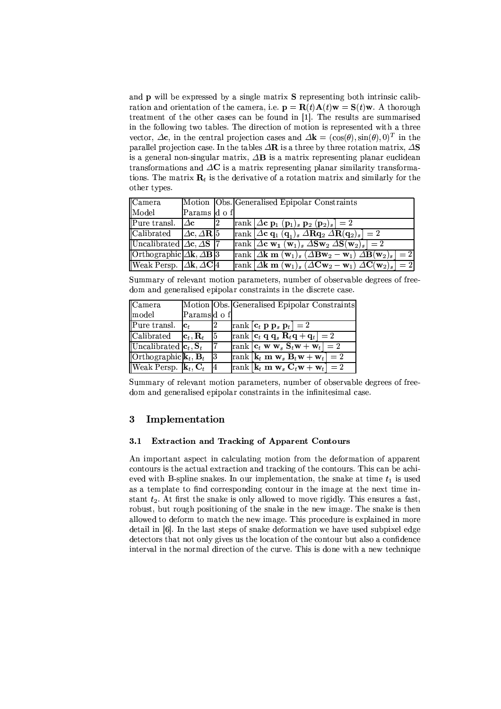and **p** will be expressed by a single matrix **S** representing both intrinsic calibration and orientation of the camera, i.e.  $\mathbf{p} = \mathbf{R}(t)\mathbf{A}(t)\mathbf{w} = \mathbf{S}(t)\mathbf{w}$ . A thorough treatment of the other cases can be found in [1]. The results are summarised in the following two tables. The direction of motion is represented with a three vector,  $\Delta$ **c**, in the central projection cases and  $\Delta$ **k** =  $(\cos(\theta), \sin(\theta), 0)^T$  in the parallel projection case. In the tables  $\Delta \mathbf{R}$  is a three by three rotation matrix,  $\Delta \mathbf{S}$ is a general non-singular matrix,  $\Delta \mathbf{B}$  is a matrix representing planar euclidean transformations and  $\Delta C$  is a matrix representing planar similarity transformations. The matrix  $\mathbf{R}_t$  is the derivative of a rotation matrix and similarly for the other types.

| Camera                                                              |              |    | Motion Obs. Generalised Epipolar Constraints                                                                                                                                                            |
|---------------------------------------------------------------------|--------------|----|---------------------------------------------------------------------------------------------------------------------------------------------------------------------------------------------------------|
| Model                                                               | Params d o f |    |                                                                                                                                                                                                         |
| Pure transl. $\Delta$ c                                             |              | 12 | $\left \text{rank}\left[\Delta c \mathbf{p}_1\left(\mathbf{p}_1\right)_{s} \mathbf{p}_2\left(\mathbf{p}_2\right)_{s}\right]\right  = 2$                                                                 |
| $\sqrt{\text{Calibrated}}$ $\Delta \mathbf{c}, \Delta \mathbf{R}$ 5 |              |    | $\vert$ rank $\vert \Delta \mathbf{c} \mathbf{q}_1 \left( \mathbf{q}_1 \right)_s \Delta \mathbf{R} \mathbf{q}_2 \Delta \mathbf{R} (\mathbf{q}_2)_s \vert = 2$                                           |
| Uncalibrated $\Delta c, \Delta s$  7                                |              |    | $\left[\text{rank}\left[\Delta c\,\mathbf{w}_1\left(\mathbf{w}_1\right)_s\,\Delta \mathbf{S}\mathbf{w}_2\,\Delta \mathbf{S}(\mathbf{w}_2)_s\right] = 2\right]$                                          |
| $\sqrt{\text{Orthographic} \Delta\mathbf{k}, \Delta\mathbf{B} ^3}$  |              |    | $\frac{1}{2}$ rank $\left[\Delta \mathbf{k} \mathbf{m} \left(\mathbf{w}_1\right)_s \left(\Delta \mathbf{B} \mathbf{w}_2 - \mathbf{w}_1\right) \Delta \mathbf{B} \left(\mathbf{w}_2\right)_s\right] = 2$ |
| <b>Weak Persp.</b> $\Delta k, \Delta C$ 4                           |              |    | $\left \text{rank}\left[\Delta\mathbf{k}\right]\right _{s} \left(\Delta\mathbf{C}\mathbf{w}_{2}-\mathbf{w}_{1}\right) \Delta\mathbf{C}(\mathbf{w}_{2})_{s}\right  = 2$                                  |

Summary of relevant motion parameters, number of observable degrees of freedom and generalised epipolar constraints in the discrete case.

| $\overline{\text{Camera}}$                               |                               |             | Motion Obs. Generalised Epipolar Constraints                                                                              |
|----------------------------------------------------------|-------------------------------|-------------|---------------------------------------------------------------------------------------------------------------------------|
| $\parallel$ model                                        | Paramsdof                     |             |                                                                                                                           |
| Pure transl.                                             | $ {\bf c}_+ $                 | 2           | $\left \text{rank}\left[\mathbf{c}_t \mathbf{p} \mathbf{p}_s \mathbf{p}_t\right]\right  = 2$                              |
| Calibrated                                               | $\mathbf{ c}_t, \mathbf{R}_t$ | -5          | $\left \text{rank}\left[\mathbf{c}_t \mathbf{q} \mathbf{q}_s \mathbf{R}_t \mathbf{q} + \mathbf{q}_t\right]\right  = 2$    |
| Uncalibrated $\overline{\mathbf{c}_t}$ , $\mathbf{s}_t$  |                               | 7           | $\left[\operatorname{rank}\left[\mathbf{c}_t\mathbf{w}\mathbf{w}_s\mathbf{S}_t\mathbf{w}+\mathbf{w}_t\right]\right]=2$    |
| $\sqrt{\text{Orthographic} \mathbf{k}_t }, \mathbf{B}_t$ |                               | $ 3\rangle$ | $\boxed{\text{rank}\left[\mathbf{k}_{t} \mathbf{m} \mathbf{w}_{s} \mathbf{B}_{t} \mathbf{w} + \mathbf{w}_{t}\right] = 2}$ |
| <b>Weak Persp.</b> $ \mathbf{k}_t, \mathbf{C}_t $        |                               | 4           | rank $[\mathbf{k}_t \ \mathbf{m} \ \mathbf{w}_s \ \mathbf{C}_t \mathbf{w} + \mathbf{w}_t] = 2$                            |

Summary of relevant motion parameters, number of observable degrees of freedom and generalised epipolar constraints in the infinitesimal case.

# 3 Implementation

#### **Extraction and Tracking of Apparent Contours**  $3.1$

An important aspect in calculating motion from the deformation of apparent contours is the actual extraction and tracking of the contours. This can be achieved with B-spline snakes. In our implementation, the snake at time  $t_1$  is used as a template to find corresponding contour in the image at the next time instant  $t_2$ . At first the snake is only allowed to move rigidly. This ensures a fast, robust, but rough positioning of the snake in the new image. The snake is then allowed to deform to match the new image. This procedure is explained in more detail in [6]. In the last steps of snake deformation we have used subpixel edge detectors that not only gives us the location of the contour but also a confidence interval in the normal direction of the curve. This is done with a new technique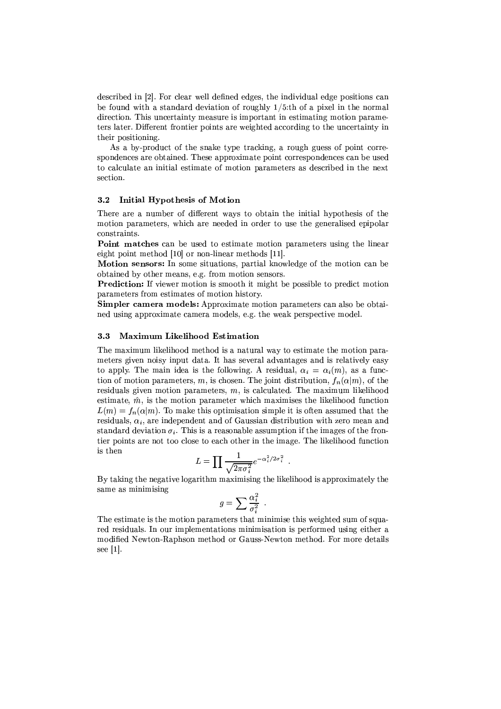described in [2]. For clear well defined edges, the individual edge positions can be found with a standard deviation of roughly  $1/5$ :th of a pixel in the normal direction. This uncertainty measure is important in estimating motion parameters later. Different frontier points are weighted according to the uncertainty in their positioning.

As a by-product of the snake type tracking, a rough guess of point correspondences are obtained. These approximate point correspondences can be used to calculate an initial estimate of motion parameters as described in the next section.

#### Initial Hypothesis of Motion  $3.2$

There are a number of different ways to obtain the initial hypothesis of the motion parameters, which are needed in order to use the generalised epipolar constraints.

Point matches can be used to estimate motion parameters using the linear eight point method [10] or non-linear methods [11].

**Motion sensors:** In some situations, partial knowledge of the motion can be obtained by other means, e.g. from motion sensors.

**Prediction:** If viewer motion is smooth it might be possible to predict motion parameters from estimates of motion history.

Simpler camera models: Approximate motion parameters can also be obtained using approximate camera models, e.g. the weak perspective model.

#### Maximum Likelihood Estimation 3.3

The maximum likelihood method is a natural way to estimate the motion parameters given noisy input data. It has several advantages and is relatively easy to apply. The main idea is the following. A residual,  $\alpha_i = \alpha_i(m)$ , as a function of motion parameters, m, is chosen. The joint distribution,  $f_n(\alpha|m)$ , of the residuals given motion parameters,  $m$ , is calculated. The maximum likelihood estimate,  $\hat{m}$ , is the motion parameter which maximises the likelihood function  $L(m) = f_n(\alpha|m)$ . To make this optimisation simple it is often assumed that the residuals,  $\alpha_i$ , are independent and of Gaussian distribution with zero mean and standard deviation  $\sigma_i$ . This is a reasonable assumption if the images of the frontier points are not too close to each other in the image. The likelihood function is then

$$
L=\prod \frac{1}{\sqrt{2\pi\sigma_i^2}}e^{-\alpha_i^2/2\sigma_i^2}
$$

By taking the negative logarithm maximising the likelihood is approximately the same as minimising

$$
g = \sum \frac{\alpha_i^2}{\sigma_i^2} \enspace .
$$

The estimate is the motion parameters that minimise this weighted sum of squared residuals. In our implementations minimisation is performed using either a modified Newton-Raphson method or Gauss-Newton method. For more details see  $[1]$ .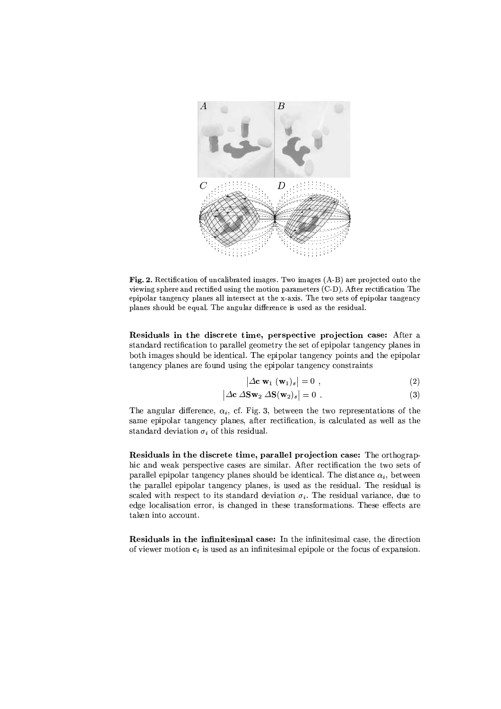

Fig. 2. Rectification of uncalibrated images. Two images (A-B) are projected onto the viewing sphere and rectified using the motion parameters (C-D). After rectification The epipolar tangency planes all intersect at the x-axis. The two sets of epipolar tangency planes should be equal. The angular difference is used as the residual.

Residuals in the discrete time, perspective projection case: After a standard rectification to parallel geometry the set of epipolar tangency planes in both images should be identical. The epipolar tangency points and the epipolar tangency planes are found using the epipolar tangency constraints

$$
\left| \Delta \mathbf{c} \ \mathbf{w}_1 \ (\mathbf{w}_1)_s \right| = 0 \quad , \tag{2}
$$

$$
\left| \Delta \mathbf{c} \ \Delta \mathbf{S} \mathbf{w}_2 \ \Delta \mathbf{S} (\mathbf{w}_2)_s \right| = 0 \ . \tag{3}
$$

The angular difference,  $\alpha_i$ , cf. Fig. 3, between the two representations of the same epipolar tangency planes, after rectification, is calculated as well as the standard deviation  $\sigma_i$  of this residual.

Residuals in the discrete time, parallel projection case: The orthographic and weak perspective cases are similar. After rectification the two sets of parallel epipolar tangency planes should be identical. The distance  $\alpha_i$ , between the parallel epipolar tangency planes, is used as the residual. The residual is scaled with respect to its standard deviation  $\sigma_i$ . The residual variance, due to edge localisation error, is changed in these transformations. These effects are taken into account.

Residuals in the infinitesimal case: In the infinitesimal case, the direction of viewer motion  $c_t$  is used as an infinitesimal epipole or the focus of expansion.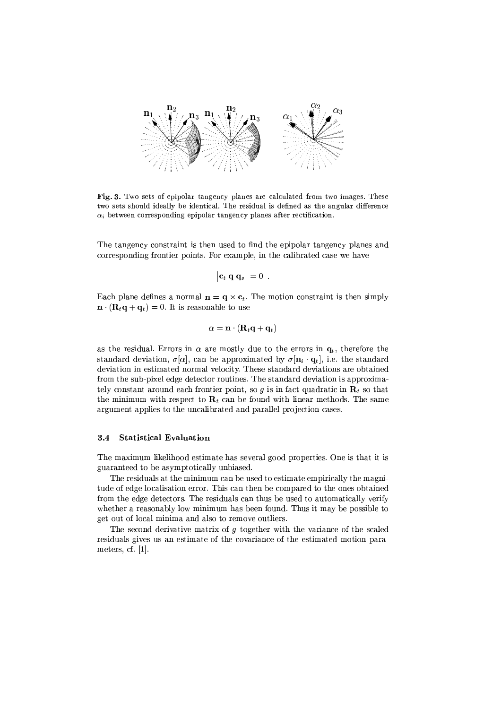

Fig. 3. Two sets of epipolar tangency planes are calculated from two images. These two sets should ideally be identical. The residual is defined as the angular difference  $\alpha_i$  between corresponding epipolar tangency planes after rectification.

The tangency constraint is then used to find the epipolar tangency planes and corresponding frontier points. For example, in the calibrated case we have

$$
\left|\mathbf{c}_t \mathbf{q} \mathbf{q}_s\right| = 0.
$$

Each plane defines a normal  $\mathbf{n} = \mathbf{q} \times \mathbf{c}_t$ . The motion constraint is then simply  $\mathbf{n} \cdot (\mathbf{R}_t \mathbf{q} + \mathbf{q}_t) = 0$ . It is reasonable to use

$$
\alpha = \mathbf{n} \cdot (\mathbf{R}_t \mathbf{q} + \mathbf{q}_t)
$$

as the residual. Errors in  $\alpha$  are mostly due to the errors in  $q_t$ , therefore the standard deviation,  $\sigma[\alpha]$ , can be approximated by  $\sigma[\mathbf{n}_i \cdot \mathbf{q}_t]$ , i.e. the standard deviation in estimated normal velocity. These standard deviations are obtained from the sub-pixel edge detector routines. The standard deviation is approximately constant around each frontier point, so g is in fact quadratic in  $\mathbf{R}_t$  so that the minimum with respect to  $\mathbf{R}_t$  can be found with linear methods. The same argument applies to the uncalibrated and parallel projection cases.

### **Statistical Evaluation**  $3.4$

The maximum likelihood estimate has several good properties. One is that it is guaranteed to be asymptotically unbiased.

The residuals at the minimum can be used to estimate empirically the magnitude of edge localisation error. This can then be compared to the ones obtained from the edge detectors. The residuals can thus be used to automatically verify whether a reasonably low minimum has been found. Thus it may be possible to get out of local minima and also to remove outliers.

The second derivative matrix of  $g$  together with the variance of the scaled residuals gives us an estimate of the covariance of the estimated motion parameters, cf. [1].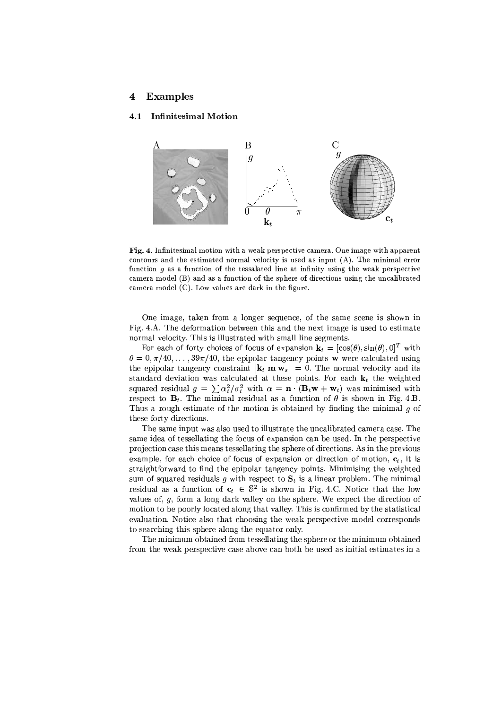#### **Examples** 4

#### $4.1$ **Infinitesimal Motion**



Fig. 4. Infinitesimal motion with a weak perspective camera. One image with apparent contours and the estimated normal velocity is used as input (A). The minimal error function  $g$  as a function of the tessalated line at infinity using the weak perspective camera model (B) and as a function of the sphere of directions using the uncalibrated camera model (C). Low values are dark in the figure.

One image, taken from a longer sequence, of the same scene is shown in Fig. 4.A. The deformation between this and the next image is used to estimate normal velocity. This is illustrated with small line segments.

For each of forty choices of focus of expansion  $\mathbf{k}_t = [\cos(\theta), \sin(\theta), 0]^T$  with  $\theta = 0, \pi/40, \ldots, 39\pi/40$ , the epipolar tangency points w were calculated using the epipolar tangency constraint  $|\mathbf{k}_t \mathbf{m} \mathbf{w}_s| = 0$ . The normal velocity and its standard deviation was calculated at these points. For each  $\mathbf{k}_t$  the weighted squared residual  $g = \sum \alpha_i^2 / \sigma_i^2$  with  $\alpha = \mathbf{n} \cdot (\mathbf{B}_t \mathbf{w} + \mathbf{w}_t)$  was minimised with respect to  $B_t$ . The minimal residual as a function of  $\theta$  is shown in Fig. 4.B. Thus a rough estimate of the motion is obtained by finding the minimal  $q$  of these forty directions.

The same input was also used to illustrate the uncalibrated camera case. The same idea of tessellating the focus of expansion can be used. In the perspective projection case this means tessellating the sphere of directions. As in the previous example, for each choice of focus of expansion or direction of motion,  $c_t$ , it is straightforward to find the epipolar tangency points. Minimising the weighted sum of squared residuals g with respect to  $S_t$  is a linear problem. The minimal residual as a function of  $c_t \in \mathbb{S}^2$  is shown in Fig. 4.C. Notice that the low values of,  $g$ , form a long dark valley on the sphere. We expect the direction of motion to be poorly located along that valley. This is confirmed by the statistical evaluation. Notice also that choosing the weak perspective model corresponds to searching this sphere along the equator only.

The minimum obtained from tessellating the sphere or the minimum obtained from the weak perspective case above can both be used as initial estimates in a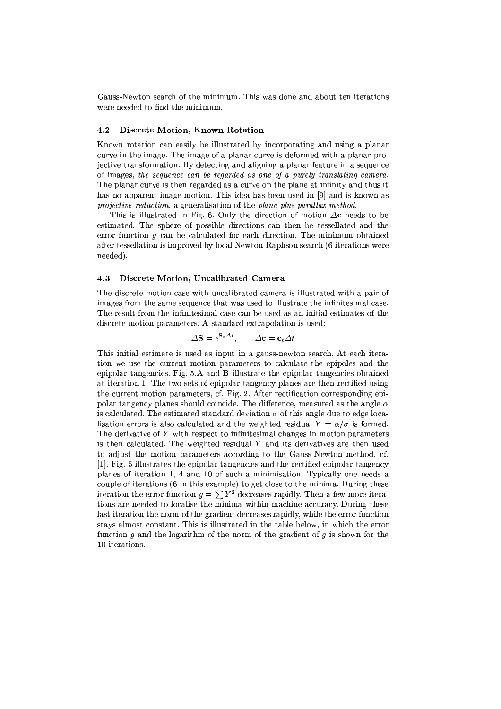Gauss-Newton search of the minimum. This was done and about ten iterations were needed to find the minimum.

#### Discrete Motion, Known Rotation  $4.2$

Known rotation can easily be illustrated by incorporating and using a planar curve in the image. The image of a planar curve is deformed with a planar projective transformation. By detecting and aligning a planar feature in a sequence of images, the sequence can be regarded as one of a purely translating camera. The planar curve is then regarded as a curve on the plane at infinity and thus it has no apparent image motion. This idea has been used in [9] and is known as *projective reduction*, a generalisation of the *plane plus parallax method.* 

This is illustrated in Fig. 6. Only the direction of motion  $\Delta$ c needs to be estimated. The sphere of possible directions can then be tessellated and the error function  $g$  can be calculated for each direction. The minimum obtained after tessellation is improved by local Newton-Raphson search (6 iterations were needed).

#### 4.3 Discrete Motion, Uncalibrated Camera

The discrete motion case with uncalibrated camera is illustrated with a pair of images from the same sequence that was used to illustrate the infinitesimal case. The result from the infinitesimal case can be used as an initial estimates of the discrete motion parameters. A standard extrapolation is used:

$$
\Delta S = e^{\mathbf{S}_t \Delta t}, \qquad \Delta \mathbf{c} = \mathbf{c}_t \Delta t
$$

This initial estimate is used as input in a gauss-newton search. At each iteration we use the current motion parameters to calculate the epipoles and the epipolar tangencies. Fig. 5.A and B illustrate the epipolar tangencies obtained at iteration 1. The two sets of epipolar tangency planes are then rectified using the current motion parameters, cf. Fig. 2. After rectification corresponding epipolar tangency planes should coincide. The difference, measured as the angle  $\alpha$ is calculated. The estimated standard deviation  $\sigma$  of this angle due to edge localisation errors is also calculated and the weighted residual  $Y = \alpha/\sigma$  is formed. The derivative of Y with respect to infinitesimal changes in motion parameters is then calculated. The weighted residual Y and its derivatives are then used to adjust the motion parameters according to the Gauss-Newton method, cf. [1]. Fig. 5 illustrates the epipolar tangencies and the rectified epipolar tangency planes of iteration 1, 4 and 10 of such a minimisation. Typically one needs a couple of iterations (6 in this example) to get close to the minima. During these iteration the error function  $g = \sum Y^2$  decreases rapidly. Then a few more iterations are needed to localise the minima within machine accuracy. During these last iteration the norm of the gradient decreases rapidly, while the error function stavs almost constant. This is illustrated in the table below, in which the error function g and the logarithm of the norm of the gradient of g is shown for the 10 iterations.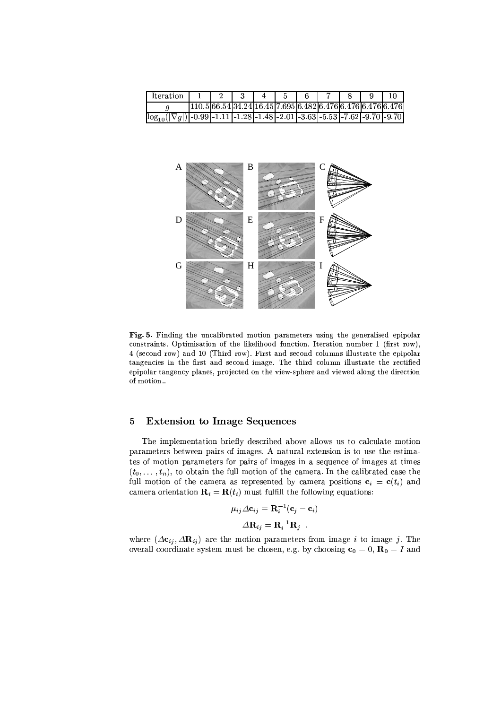| Iteration                                                                                                    |                                                                 |  |  |  |  |  |
|--------------------------------------------------------------------------------------------------------------|-----------------------------------------------------------------|--|--|--|--|--|
|                                                                                                              | $ 110.5 66.54 34.24 16.45 7.695 6.482 6.476 6.476 6.476 6.476 $ |  |  |  |  |  |
| $\lfloor \log_{10}( \nabla g ) \rfloor$ -0.99 - 1.11 - 1.28 - 1.48 - 2.01 - 3.63 - 5.53 - 7.62 - 9.70 - 9.70 |                                                                 |  |  |  |  |  |



Fig. 5. Finding the uncalibrated motion parameters using the generalised epipolar constraints. Optimisation of the likelihood function. Iteration number 1 (first row), 4 (second row) and 10 (Third row). First and second columns illustrate the epipolar tangencies in the first and second image. The third column illustrate the rectified epipolar tangency planes, projected on the view-sphere and viewed along the direction of motion..

# **Extension to Image Sequences**  $\overline{5}$

The implementation briefly described above allows us to calculate motion parameters between pairs of images. A natural extension is to use the estimates of motion parameters for pairs of images in a sequence of images at times  $(t_0,\ldots,t_n)$ , to obtain the full motion of the camera. In the calibrated case the full motion of the camera as represented by camera positions  $\mathbf{c}_i = \mathbf{c}(t_i)$  and camera orientation  $\mathbf{R}_i = \mathbf{R}(t_i)$  must fulfill the following equations:

$$
\mu_{ij}\Delta \mathbf{c}_{ij} = \mathbf{R}_i^{-1}(\mathbf{c}_j - \mathbf{c}_i)
$$

$$
\Delta \mathbf{R}_{ij} = \mathbf{R}_i^{-1} \mathbf{R}_j
$$

where  $(\Delta \mathbf{c}_{ij}, \Delta \mathbf{R}_{ij})$  are the motion parameters from image *i* to image *j*. The overall coordinate system must be chosen, e.g. by choosing  $\mathbf{c}_0 = 0$ ,  $\mathbf{R}_0 = I$  and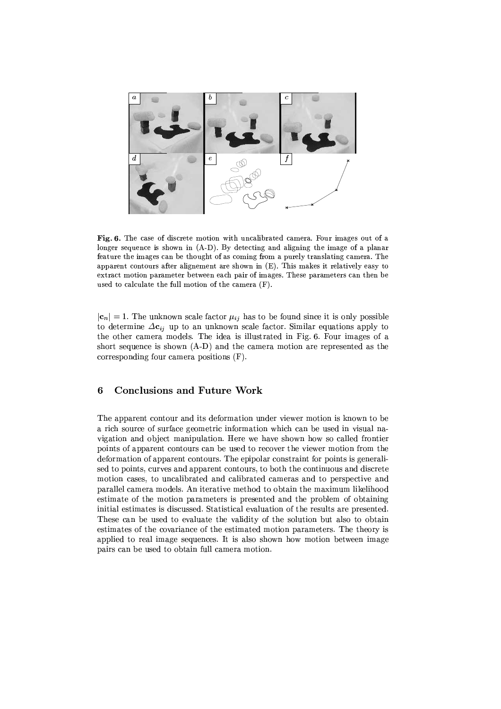

Fig. 6. The case of discrete motion with uncalibrated camera. Four images out of a longer sequence is shown in  $(A-D)$ . By detecting and aligning the image of a planar feature the images can be thought of as coming from a purely translating camera. The apparent contours after alignement are shown in  $(E)$ . This makes it relatively easy to extract motion parameter between each pair of images. These parameters can then be used to calculate the full motion of the camera (F).

 $|\mathbf{c}_n|=1$ . The unknown scale factor  $\mu_{ij}$  has to be found since it is only possible to determine  $\Delta \mathbf{c}_{ij}$  up to an unknown scale factor. Similar equations apply to the other camera models. The idea is illustrated in Fig. 6. Four images of a short sequence is shown  $(A-D)$  and the camera motion are represented as the corresponding four camera positions  $(F)$ .

# $\boldsymbol{6}$ **Conclusions and Future Work**

The apparent contour and its deformation under viewer motion is known to be a rich source of surface geometric information which can be used in visual navigation and object manipulation. Here we have shown how so called frontier points of apparent contours can be used to recover the viewer motion from the deformation of apparent contours. The epipolar constraint for points is generalised to points, curves and apparent contours, to both the continuous and discrete motion cases, to uncalibrated and calibrated cameras and to perspective and parallel camera models. An iterative method to obtain the maximum likelihood estimate of the motion parameters is presented and the problem of obtaining initial estimates is discussed. Statistical evaluation of the results are presented. These can be used to evaluate the validity of the solution but also to obtain estimates of the covariance of the estimated motion parameters. The theory is applied to real image sequences. It is also shown how motion between image pairs can be used to obtain full camera motion.